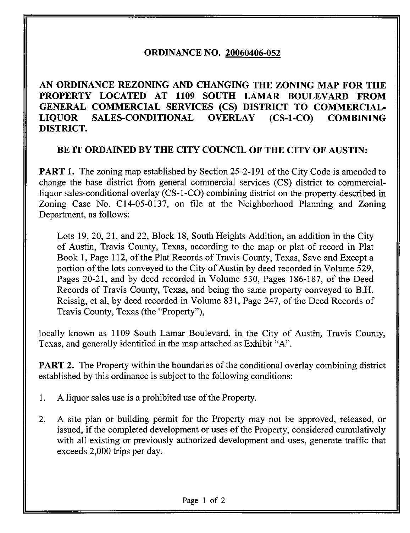## ORDINANCE NO. 20060406-052

AN ORDINANCE REZONING AND CHANGING THE ZONING MAP FOR THE PROPERTY LOCATED AT 1109 SOUTH LAMAR BOULEVARD FROM GENERAL COMMERCIAL SERVICES (CS) DISTRICT TO COMMERCIAL-LIQUOR SALES-CONDITIONAL OVERLAY (CS-l-CO) COMBINING DISTRICT.

## BE IT ORDAINED BY THE CITY COUNCIL OF THE CITY OF AUSTIN:

**PART 1.** The zoning map established by Section 25-2-191 of the City Code is amended to change the base district from general commercial services (CS) district to commercialliquor sales-conditional overlay (CS-l-CO) combining district on the property described in Zoning Case No. C14-05-0137, on file at the Neighborhood Planning and Zoning Department, as follows:

Lots 19, 20, 21, and 22, Block 18, South Heights Addition, an addition in the City of Austin, Travis County, Texas, according to the map or plat of record in Plat Book 1, Page 112, of the Plat Records of Travis County, Texas, Save and Except a portion of the lots conveyed to the City of Austin by deed recorded in Volume 529, Pages 20-21, and by deed recorded in Volume 530, Pages 186-187, of the Deed Records of Travis County, Texas, and being the same property conveyed to B.H. Reissig, et al, by deed recorded in Volume 831, Page 247, of the Deed Records of Travis County, Texas (the "Property"),

locally known as 1109 South Lamar Boulevard, in the City of Austin, Travis County, Texas, and generally identified in the map attached as Exhibit "A".

**PART 2.** The Property within the boundaries of the conditional overlay combining district established by this ordinance is subject to the following conditions:

- 1. A liquor sales use is a prohibited use of the Property.
- 2. A site plan or building permit for the Property may not be approved, released, or issued, if the completed development or uses of the Property, considered cumulatively with all existing or previously authorized development and uses, generate traffic that exceeds 2,000 trips per day.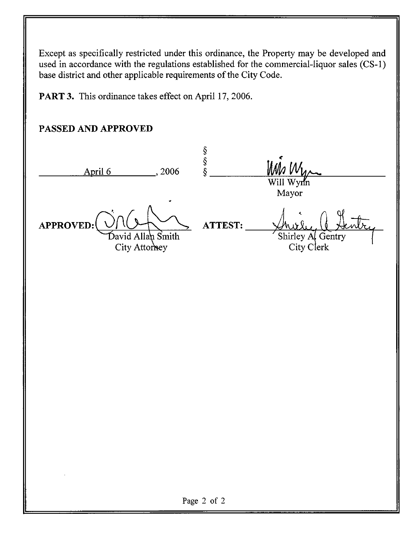Except as specifically restricted under this ordinance, the Property may be developed and used in accordance with the regulations established for the commercial-liquor sales (CS-1) base district and other applicable requirements of the City Code.

PART 3. This ordinance takes effect on April 17, 2006.

## PASSED AND APPROVED

| 2006<br>April 6                                 |                                                  |
|-------------------------------------------------|--------------------------------------------------|
| ٠                                               | Will Wynn<br>Mayor                               |
| APPROVED:<br>David Allah Smith<br>City Attorney | <b>ATTEST:</b><br>Shirley A Gentry<br>City Clerk |